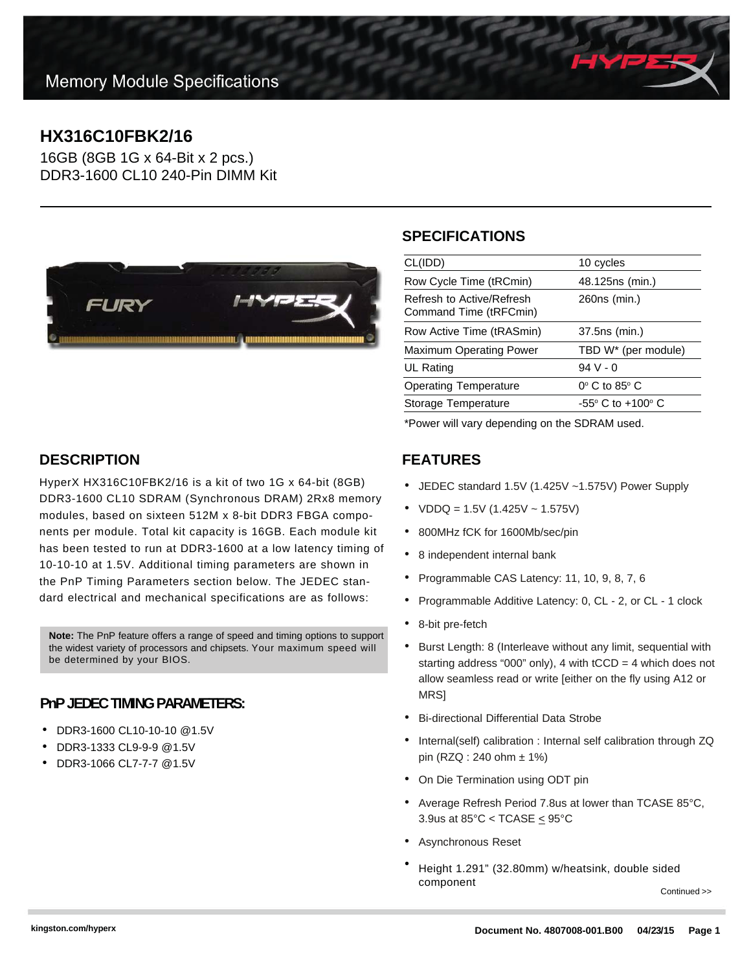# **HX316C10FBK2/16**

16GB (8GB 1G x 64-Bit x 2 pcs.) DDR3-1600 CL10 240-Pin DIMM Kit



#### **SPECIFICATIONS**

| CL(IDD)                                             | 10 cycles                           |
|-----------------------------------------------------|-------------------------------------|
| Row Cycle Time (tRCmin)                             | 48.125ns (min.)                     |
| Refresh to Active/Refresh<br>Command Time (tRFCmin) | 260ns (min.)                        |
| Row Active Time (tRASmin)                           | 37.5ns (min.)                       |
| Maximum Operating Power                             | TBD W* (per module)                 |
| UL Rating                                           | $94V - 0$                           |
| <b>Operating Temperature</b>                        | $0^\circ$ C to 85 $^\circ$ C        |
| Storage Temperature                                 | $-55^{\circ}$ C to $+100^{\circ}$ C |
|                                                     |                                     |

\*Power will vary depending on the SDRAM used.

#### **FEATURES**

- JEDEC standard 1.5V (1.425V ~1.575V) Power Supply
- $VDDQ = 1.5V (1.425V 1.575V)$
- 800MHz fCK for 1600Mb/sec/pin
- 8 independent internal bank
- Programmable CAS Latency: 11, 10, 9, 8, 7, 6
- Programmable Additive Latency: 0, CL 2, or CL 1 clock
- 8-bit pre-fetch
- Burst Length: 8 (Interleave without any limit, sequential with starting address "000" only), 4 with  $tCCD = 4$  which does not allow seamless read or write [either on the fly using A12 or **MRS1**
- Bi-directional Differential Data Strobe
- Internal(self) calibration : Internal self calibration through ZQ pin (RZQ : 240 ohm ± 1%)
- On Die Termination using ODT pin
- Average Refresh Period 7.8us at lower than TCASE 85°C, 3.9us at  $85^{\circ}$ C < TCASE  $\leq$  95 $^{\circ}$ C
- Asynchronous Reset
- Height 1.291" (32.80mm) w/heatsink, double sided component

Continued >>

### **DESCRIPTION**

HyperX HX316C10FBK2/16 is a kit of two 1G x 64-bit (8GB) DDR3-1600 CL10 SDRAM (Synchronous DRAM) 2Rx8 memory modules, based on sixteen 512M x 8-bit DDR3 FBGA components per module. Total kit capacity is 16GB. Each module kit has been tested to run at DDR3-1600 at a low latency timing of 10-10-10 at 1.5V. Additional timing parameters are shown in the PnP Timing Parameters section below. The JEDEC standard electrical and mechanical specifications are as follows:

**Note:** The PnP feature offers a range of speed and timing options to support the widest variety of processors and chipsets. Your maximum speed will be determined by your BIOS.

#### **PnP JEDEC TIMING PARAMETERS:**

- DDR3-1600 CL10-10-10 @1.5V
- DDR3-1333 CL9-9-9 @1.5V
- DDR3-1066 CL7-7-7 @1.5V